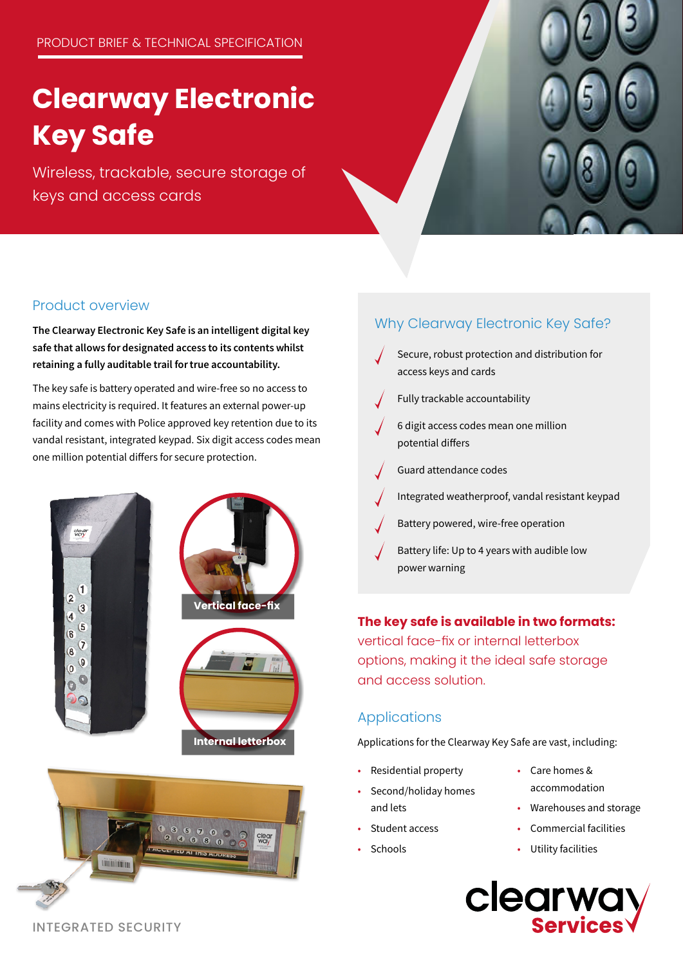# **Clearway Electronic Key Safe**

Wireless, trackable, secure storage of keys and access cards



#### Product overview

The Clearway Electronic Key Safe is an intelligent digital key safe that allows for designated access to its contents whilst retaining a fully auditable trail for true accountability.

The key safe is battery operated and wire-free so no access to mains electricity is required. It features an external power-up facility and comes with Police approved key retention due to its vandal resistant, integrated keypad. Six digit access codes mean one million potential differs for secure protection.





#### Why Clearway Electronic Key Safe?

- Secure, robust protection and distribution for access keys and cards
- Fully trackable accountability
- 6 digit access codes mean one million potential differs
- Guard attendance codes
- Integrated weatherproof, vandal resistant keypad
- Battery powered, wire-free operation
- Battery life: Up to 4 years with audible low power warning

#### **The key safe is available in two formats:**

vertical face-fix or internal letterbox options, making it the ideal safe storage and access solution.

#### Applications

Applications for the Clearway Key Safe are vast, including:

- Residential property
- Care homes &
- Second/holiday homes and lets
- Student access
- Schools
- accommodation
- Warehouses and storage
- Commercial facilities
- Utility facilities
- **Clearw**

INTEGRATED SECURITY